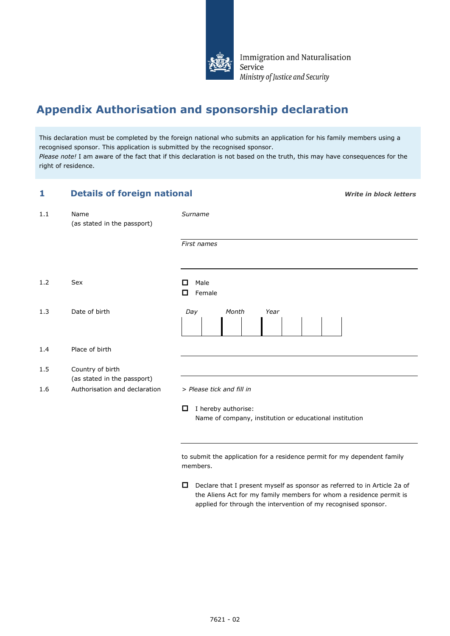

Immigration and Naturalisation Service Ministry of Justice and Security

## **Appendix Authorisation and sponsorship declaration**

This declaration must be completed by the foreign national who submits an application for his family members using a recognised sponsor. This application is submitted by the recognised sponsor. *Please note!* I am aware of the fact that if this declaration is not based on the truth, this may have consequences for the right of residence.

| <b>Details of foreign national</b><br>1 |                                                 | <b>Write in block letters</b>                                                                                                                                                                                          |
|-----------------------------------------|-------------------------------------------------|------------------------------------------------------------------------------------------------------------------------------------------------------------------------------------------------------------------------|
| 1.1                                     | Name<br>(as stated in the passport)             | Surname                                                                                                                                                                                                                |
|                                         |                                                 | First names                                                                                                                                                                                                            |
| 1.2                                     | Sex                                             | Male<br>П<br>Female<br>0                                                                                                                                                                                               |
| 1.3                                     | Date of birth                                   | Day<br>Month<br>Year                                                                                                                                                                                                   |
| 1.4                                     | Place of birth                                  |                                                                                                                                                                                                                        |
| 1.5                                     | Country of birth<br>(as stated in the passport) |                                                                                                                                                                                                                        |
| 1.6                                     | Authorisation and declaration                   | > Please tick and fill in                                                                                                                                                                                              |
|                                         |                                                 | I hereby authorise:<br>O<br>Name of company, institution or educational institution                                                                                                                                    |
|                                         |                                                 | to submit the application for a residence permit for my dependent family<br>members.                                                                                                                                   |
|                                         |                                                 | 0<br>Declare that I present myself as sponsor as referred to in Article 2a of<br>the Aliens Act for my family members for whom a residence permit is<br>applied for through the intervention of my recognised sponsor. |